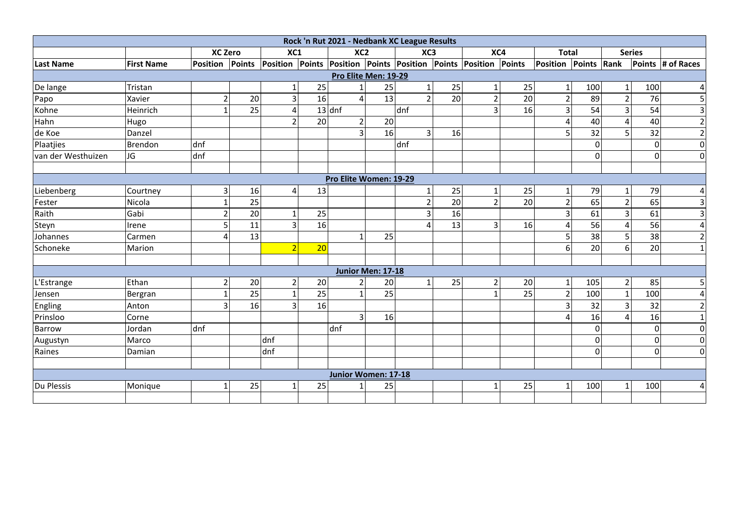|                    |                   |                |    |                |    | Rock 'n Rut 2021 - Nedbank XC League Results |    |                |    |                                                                                 |    |                      |                 |                |                |                   |
|--------------------|-------------------|----------------|----|----------------|----|----------------------------------------------|----|----------------|----|---------------------------------------------------------------------------------|----|----------------------|-----------------|----------------|----------------|-------------------|
|                    |                   | <b>XC Zero</b> |    | XC1            |    | XC <sub>2</sub>                              |    | XC3            |    | XC4                                                                             |    | <b>Total</b>         |                 |                | <b>Series</b>  |                   |
| <b>Last Name</b>   | <b>First Name</b> |                |    |                |    |                                              |    |                |    | Position Points Position Points Position Points Position Points Position Points |    | Position Points Rank |                 |                |                | Points # of Races |
|                    |                   |                |    |                |    | Pro Elite Men: 19-29                         |    |                |    |                                                                                 |    |                      |                 |                |                |                   |
| De lange           | Tristan           |                |    | $\mathbf{1}$   | 25 |                                              | 25 |                | 25 |                                                                                 | 25 | 1                    | 100             | 1              | 100            | $\vert$           |
| Papo               | Xavier            | $\overline{2}$ | 20 | 3              | 16 | $\overline{a}$                               | 13 | $\overline{2}$ | 20 |                                                                                 | 20 | $\overline{2}$       | 89              | $\mathfrak z$  | 76             | $\overline{5}$    |
| Kohne              | Heinrich          | 1              | 25 | 4              |    | $13$ dnf                                     |    | dnf            |    | $\overline{3}$                                                                  | 16 | $\overline{3}$       | $\overline{54}$ | 3              | 54             | $\overline{3}$    |
| Hahn               | Hugo              |                |    | $\mathcal{P}$  | 20 | $\overline{2}$                               | 20 |                |    |                                                                                 |    | 4                    | 40              |                | 40             | $\overline{2}$    |
| de Koe             | Danzel            |                |    |                |    | 3                                            | 16 | $\overline{3}$ | 16 |                                                                                 |    | 5.                   | 32              |                | 32             | $\overline{2}$    |
| Plaatjies          | Brendon           | dnf            |    |                |    |                                              |    | dnf            |    |                                                                                 |    |                      | $\Omega$        |                | $\overline{0}$ | $\overline{0}$    |
| van der Westhuizen | JG                | dnf            |    |                |    |                                              |    |                |    |                                                                                 |    |                      | $\Omega$        |                | $\Omega$       | $\overline{0}$    |
|                    |                   |                |    |                |    |                                              |    |                |    |                                                                                 |    |                      |                 |                |                |                   |
|                    |                   |                |    |                |    | Pro Elite Women: 19-29                       |    |                |    |                                                                                 |    |                      |                 |                |                |                   |
| Liebenberg         | Courtney          | 3              | 16 | 4              | 13 |                                              |    | 1              | 25 |                                                                                 | 25 | $\mathbf{1}$         | 79              | 1              | 79             | $\vert$           |
| Fester             | Nicola            | 1              | 25 |                |    |                                              |    | $\overline{2}$ | 20 | $\overline{2}$                                                                  | 20 | $\overline{2}$       | 65              | $\overline{2}$ | 65             | $\vert$ 3         |
| Raith              | Gabi              | $\overline{2}$ | 20 | 1              | 25 |                                              |    | $\overline{3}$ | 16 |                                                                                 |    | $\overline{3}$       | 61              | 3              | 61             | $\vert$ 3         |
| Steyn              | Irene             | 5              | 11 | 3              | 16 |                                              |    | 4              | 13 | $\overline{3}$                                                                  | 16 | 4                    | 56              | Δ              | 56             | $\vert 4 \vert$   |
| Johannes           | Carmen            | Δ              | 13 |                |    | 1                                            | 25 |                |    |                                                                                 |    | 5                    | 38              | 5              | 38             | $\overline{2}$    |
| Schoneke           | Marion            |                |    | $\overline{2}$ | 20 |                                              |    |                |    |                                                                                 |    | 6                    | $\overline{20}$ | 6              | 20             | $1\overline{ }$   |
|                    |                   |                |    |                |    |                                              |    |                |    |                                                                                 |    |                      |                 |                |                |                   |
|                    |                   |                |    |                |    | Junior Men: 17-18                            |    |                |    |                                                                                 |    |                      |                 |                |                |                   |
| L'Estrange         | Ethan             | $\overline{2}$ | 20 | $\overline{2}$ | 20 | $\overline{2}$                               | 20 | 1              | 25 | 2                                                                               | 20 | 1                    | 105             | $\overline{2}$ | 85             | 5                 |
| Jensen             | Bergran           | 1              | 25 | $\mathbf{1}$   | 25 | 1                                            | 25 |                |    |                                                                                 | 25 | $\overline{2}$       | 100             | 1              | 100            | $\vert 4 \vert$   |
| Engling            | Anton             | 3              | 16 | 3              | 16 |                                              |    |                |    |                                                                                 |    | $\overline{3}$       | 32              | 3              | 32             | $\overline{2}$    |
| Prinsloo           | Corne             |                |    |                |    | 3                                            | 16 |                |    |                                                                                 |    | 4                    | 16              |                | 16             | $1\overline{ }$   |
| <b>Barrow</b>      | Jordan            | dnf            |    |                |    | dnf                                          |    |                |    |                                                                                 |    |                      | $\Omega$        |                | $\Omega$       | $\overline{0}$    |
| Augustyn           | Marco             |                |    | dnf            |    |                                              |    |                |    |                                                                                 |    |                      | $\mathbf 0$     |                | $\Omega$       | $\Omega$          |
| Raines             | Damian            |                |    | dnf            |    |                                              |    |                |    |                                                                                 |    |                      | $\mathbf 0$     |                | $\Omega$       | $\overline{0}$    |
|                    |                   |                |    |                |    |                                              |    |                |    |                                                                                 |    |                      |                 |                |                |                   |
|                    |                   |                |    |                |    | Junior Women: 17-18                          |    |                |    |                                                                                 |    |                      |                 |                |                |                   |
| Du Plessis         | Monique           | 1              | 25 | 1              | 25 |                                              | 25 |                |    |                                                                                 | 25 |                      | 100             |                | 100            | $4 \mid$          |
|                    |                   |                |    |                |    |                                              |    |                |    |                                                                                 |    |                      |                 |                |                |                   |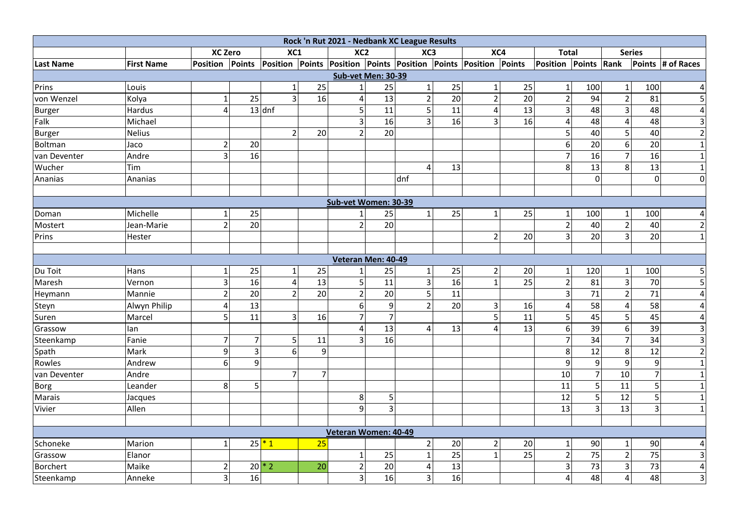|               |                   |                         |                 |                         |                | Rock 'n Rut 2021 - Nedbank XC League Results |                 |                         |                 |                                                                        |                 |                      |                         |                         |                 |                         |
|---------------|-------------------|-------------------------|-----------------|-------------------------|----------------|----------------------------------------------|-----------------|-------------------------|-----------------|------------------------------------------------------------------------|-----------------|----------------------|-------------------------|-------------------------|-----------------|-------------------------|
|               |                   | <b>XC Zero</b>          |                 | XC1                     |                | XC2                                          |                 | XC3                     |                 | XC4                                                                    |                 | <b>Total</b>         |                         | <b>Series</b>           |                 |                         |
| Last Name     | <b>First Name</b> | <b>Position Points</b>  |                 |                         |                |                                              |                 |                         |                 | <b>Position Points Position Points Position Points Position Points</b> |                 | Position Points Rank |                         |                         |                 | Points # of Races       |
|               |                   |                         |                 |                         |                | <b>Sub-vet Men: 30-39</b>                    |                 |                         |                 |                                                                        |                 |                      |                         |                         |                 |                         |
| Prins         | Louis             |                         |                 | $1\vert$                | 25             | $\mathbf{1}$                                 | 25              | $\mathbf 1$             | 25              | $\mathbf{1}$                                                           | 25              | $1\vert$             | 100                     | $\mathbf{1}$            | 100             | 4                       |
| von Wenzel    | Kolya             | $\mathbf{1}$            | 25              | $\overline{3}$          | 16             | $\overline{\mathbf{4}}$                      | 13              | $\mathbf 2$             | 20              | $\overline{2}$                                                         | 20              | $\overline{2}$       | 94                      | $\overline{2}$          | 81              | 5                       |
| Burger        | Hardus            | $\overline{\mathbf{4}}$ |                 | $13$ dnf                |                | 5                                            | 11              | 5 <sup>1</sup>          | 11              | $\overline{4}$                                                         | 13              | $\overline{3}$       | 48                      | $\overline{3}$          | 48              | 4                       |
| Falk          | Michael           |                         |                 |                         |                | $\overline{\mathbf{3}}$                      | 16              | $\overline{3}$          | 16              | $\overline{3}$                                                         | 16              | $\vert$              | 48                      | $\overline{4}$          | 48              | 3                       |
| <b>Burger</b> | <b>Nelius</b>     |                         |                 | $\overline{2}$          | 20             | $\overline{2}$                               | 20              |                         |                 |                                                                        |                 | 5 <sup>1</sup>       | 40                      | 5 <sub>l</sub>          | 40              | $\overline{2}$          |
| Boltman       | Jaco              | $\overline{2}$          | 20              |                         |                |                                              |                 |                         |                 |                                                                        |                 | 6 <sup>1</sup>       | 20                      | 6                       | 20              | $\mathbf{1}$            |
| van Deventer  | Andre             | $\overline{3}$          | 16              |                         |                |                                              |                 |                         |                 |                                                                        |                 | $\overline{7}$       | 16                      | $\overline{7}$          | 16              | $\mathbf{1}$            |
| Wucher        | Tim               |                         |                 |                         |                |                                              |                 | 4                       | 13              |                                                                        |                 | 8 <sup>1</sup>       | 13                      | 8                       | 13              | $\mathbf{1}$            |
| Ananias       | Ananias           |                         |                 |                         |                |                                              |                 | dnf                     |                 |                                                                        |                 |                      | $\mathbf 0$             |                         | $\mathbf 0$     | $\mathbf 0$             |
|               |                   |                         |                 |                         |                |                                              |                 |                         |                 |                                                                        |                 |                      |                         |                         |                 |                         |
|               |                   |                         |                 |                         |                | Sub-vet Women: 30-39                         |                 |                         |                 |                                                                        |                 |                      |                         |                         |                 |                         |
| Doman         | Michelle          | 1                       | 25              |                         |                | 1                                            | 25              | 1                       | 25              | 1                                                                      | 25              | $1\vert$             | 100                     | 1                       | 100             | 4                       |
| Mostert       | Jean-Marie        | $\overline{2}$          | 20              |                         |                | $\overline{2}$                               | 20              |                         |                 |                                                                        |                 | $\overline{2}$       | 40                      | $\overline{2}$          | 40              | $\overline{2}$          |
| Prins         | Hester            |                         |                 |                         |                |                                              |                 |                         |                 | $\overline{2}$                                                         | 20              | 3 <sup>1</sup>       | 20                      | $\overline{3}$          | 20              | $\mathbf{1}$            |
|               |                   |                         |                 |                         |                |                                              |                 |                         |                 |                                                                        |                 |                      |                         |                         |                 |                         |
|               |                   |                         |                 |                         |                | Veteran Men: 40-49                           |                 |                         |                 |                                                                        |                 |                      |                         |                         |                 |                         |
| Du Toit       | Hans              | 1                       | 25              | $\mathbf{1}$            | 25             | 1                                            | 25              | 1                       | 25              | $\overline{2}$                                                         | 20              | $\mathbf{1}$         | 120                     | 1                       | 100             | 5                       |
| Maresh        | Vernon            | 3                       | 16              | $\overline{\mathbf{4}}$ | 13             | $\overline{5}$                               | $\overline{11}$ | $\overline{\mathbf{3}}$ | 16              | $\mathbf{1}$                                                           | 25              | $\overline{2}$       | 81                      | $\overline{\mathbf{3}}$ | 70              | 5                       |
| Heymann       | Mannie            | $\overline{2}$          | 20              | $\overline{2}$          | 20             | $\overline{2}$                               | $\overline{20}$ | $\overline{5}$          | 11              |                                                                        |                 | $\overline{3}$       | $\overline{71}$         | $\overline{2}$          | 71              | $\overline{4}$          |
| Steyn         | Alwyn Philip      | $\overline{\mathbf{4}}$ | $\overline{13}$ |                         |                | $\overline{6}$                               | 9               | $\overline{2}$          | $\overline{20}$ | $\mathbf{3}$                                                           | 16              | $\vert$              | $\overline{58}$         | $\overline{4}$          | $\overline{58}$ | 4                       |
| Suren         | Marcel            | 5                       | 11              | 3                       | 16             | $\overline{7}$                               | $\overline{7}$  |                         |                 | 5 <sup>1</sup>                                                         | 11              | $\overline{5}$       | 45                      | $\overline{5}$          | 45              | $\overline{4}$          |
| Grassow       | lan               |                         |                 |                         |                | $\pmb{4}$                                    | 13              | 4                       | 13              | 4                                                                      | 13              | 6 <sup>1</sup>       | 39                      | 6                       | 39              | $\overline{\mathbf{3}}$ |
| Steenkamp     | Fanie             | $\overline{7}$          | $\overline{7}$  | 5                       | 11             | $\overline{3}$                               | 16              |                         |                 |                                                                        |                 | $\overline{7}$       | 34                      | $\overline{7}$          | $\overline{34}$ | $\mathsf{3}$            |
| Spath         | Mark              | 9                       | $\overline{3}$  | $\overline{6}$          | $\overline{9}$ |                                              |                 |                         |                 |                                                                        |                 | 8 <sup>1</sup>       | 12                      | 8                       | 12              | $\mathbf 2$             |
| Rowles        | Andrew            | 6                       | 9               |                         |                |                                              |                 |                         |                 |                                                                        |                 | $\overline{9}$       | 9                       | 9                       | 9               | $\mathbf{1}$            |
| van Deventer  | Andre             |                         |                 | $\overline{7}$          | $\overline{7}$ |                                              |                 |                         |                 |                                                                        |                 | 10                   | $\overline{7}$          | 10                      | $\overline{7}$  | $\mathbf 1$             |
| Borg          | Leander           | 8                       | 5               |                         |                |                                              |                 |                         |                 |                                                                        |                 | $\overline{11}$      | 5                       | 11                      | 5               | $\mathbf{1}$            |
| Marais        | Jacques           |                         |                 |                         |                | 8                                            | 5               |                         |                 |                                                                        |                 | 12                   | 5                       | 12                      | 5               | 1                       |
| Vivier        | Allen             |                         |                 |                         |                | 9                                            | 3               |                         |                 |                                                                        |                 | 13                   | $\overline{\mathbf{3}}$ | 13                      | $\overline{3}$  | $\mathbf{1}$            |
|               |                   |                         |                 |                         |                |                                              |                 |                         |                 |                                                                        |                 |                      |                         |                         |                 |                         |
|               |                   |                         |                 |                         |                | Veteran Women: 40-49                         |                 |                         |                 |                                                                        |                 |                      |                         |                         |                 |                         |
| Schoneke      | Marion            | $\mathbf{1}$            |                 | $25*1$                  | 25             |                                              |                 | $\overline{2}$          | 20              | $\overline{2}$                                                         | 20              | 1                    | 90                      | $\mathbf{1}$            | 90              | 4                       |
| Grassow       | Elanor            |                         |                 |                         |                | $\mathbf 1$                                  | 25              | $\mathbf{1}$            | $\overline{25}$ | $\mathbf{1}$                                                           | $\overline{25}$ | $\overline{2}$       | $\overline{75}$         | $\overline{2}$          | $\overline{75}$ | $\overline{3}$          |
| Borchert      | Maike             | $\overline{2}$          |                 | $20*2$                  | 20             | $\mathbf 2$                                  | 20              | 4                       | 13              |                                                                        |                 | 3 <sup>1</sup>       | 73                      | $\overline{\mathbf{3}}$ | 73              | $\overline{4}$          |
| Steenkamp     | Anneke            | 3                       | 16              |                         |                | 3                                            | 16              | $\overline{3}$          | 16              |                                                                        |                 | 4                    | 48                      | $\overline{4}$          | 48              | 3                       |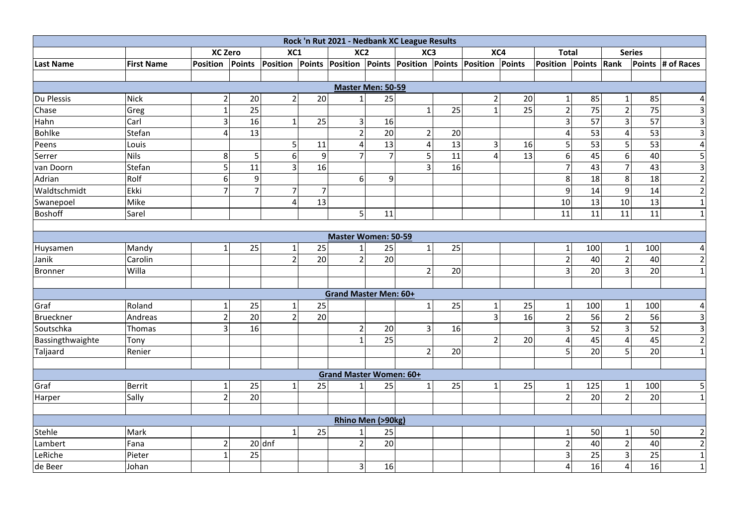|                  |                   |                |                 |                |                |                                 |                 | Rock 'n Rut 2021 - Nedbank XC League Results |                 |                         |                 |                |                 |                         |                 |                         |
|------------------|-------------------|----------------|-----------------|----------------|----------------|---------------------------------|-----------------|----------------------------------------------|-----------------|-------------------------|-----------------|----------------|-----------------|-------------------------|-----------------|-------------------------|
|                  |                   | <b>XC Zero</b> |                 | XC1            |                | XC <sub>2</sub>                 |                 | XC <sub>3</sub>                              |                 | XC4                     |                 | <b>Total</b>   |                 |                         | <b>Series</b>   |                         |
| <b>Last Name</b> | <b>First Name</b> | Position       | Points          | Position       |                | Points Position Points Position |                 |                                              | <b>Points</b>   | Position                | Points          | Position       | Points          | Rank                    |                 | Points # of Races       |
|                  |                   |                |                 |                |                |                                 |                 |                                              |                 |                         |                 |                |                 |                         |                 |                         |
|                  |                   |                |                 |                |                | Master Men: 50-59               |                 |                                              |                 |                         |                 |                |                 |                         |                 |                         |
| Du Plessis       | <b>Nick</b>       | $\overline{2}$ | 20              | $\overline{2}$ | 20             | $\mathbf{1}$                    | 25              |                                              |                 | $\overline{2}$          | 20              | $\mathbf{1}$   | 85              | $1\vert$                | 85              | 4                       |
| Chase            | Greg              | $\mathbf{1}$   | $\overline{25}$ |                |                |                                 |                 | $\mathbf{1}$                                 | 25              |                         | $\overline{25}$ | $\overline{2}$ | $\overline{75}$ | $\overline{2}$          | $\overline{75}$ | 3                       |
| Hahn             | Carl              | 3              | 16              | $\mathbf{1}$   | 25             | $\mathsf 3$                     | 16              |                                              |                 |                         |                 | 3              | $\overline{57}$ | $\overline{3}$          | 57              | 3                       |
| Bohlke           | Stefan            | 4              | 13              |                |                | $\overline{2}$                  | $\overline{20}$ | $\overline{2}$                               | 20              |                         |                 | 4              | 53              | 4                       | 53              | $\mathbf{3}$            |
| Peens            | Louis             |                |                 | 5              | 11             | $\overline{\mathbf{4}}$         | 13              | 4                                            | 13              | $\overline{\mathbf{3}}$ | 16              | 5 <sub>l</sub> | 53              | 5 <sup>1</sup>          | 53              | 4                       |
| Serrer           | <b>Nils</b>       | 8              | 5               | 6              | $\mathsf g$    | $\overline{7}$                  | $\overline{7}$  | 5                                            | 11              | 4                       | 13              | 6 <sup>1</sup> | 45              | 6                       | 40              | 5                       |
| van Doorn        | Stefan            | 5              | 11              | $\overline{3}$ | 16             |                                 |                 | 3                                            | $\overline{16}$ |                         |                 | $\overline{7}$ | 43              | $\overline{7}$          | 43              | $\overline{\mathbf{3}}$ |
| Adrian           | Rolf              | 6              | 9               |                |                | 6                               | 9               |                                              |                 |                         |                 | 8 <sup>1</sup> | 18              | 8                       | 18              | $\mathbf 2$             |
| Waldtschmidt     | Ekki              |                | $\overline{7}$  | $\overline{7}$ | $\overline{7}$ |                                 |                 |                                              |                 |                         |                 | $\overline{9}$ | 14              | 9                       | 14              | $\overline{2}$          |
| Swanepoel        | Mike              |                |                 | $\overline{4}$ | 13             |                                 |                 |                                              |                 |                         |                 | 10             | 13              | 10                      | 13              | $\mathbf{1}$            |
| <b>Boshoff</b>   | Sarel             |                |                 |                |                | 5                               | 11              |                                              |                 |                         |                 | 11             | 11              | 11                      | 11              | $\mathbf{1}$            |
|                  |                   |                |                 |                |                |                                 |                 |                                              |                 |                         |                 |                |                 |                         |                 |                         |
|                  |                   |                |                 |                |                | <b>Master Women: 50-59</b>      |                 |                                              |                 |                         |                 |                |                 |                         |                 |                         |
| Huysamen         | Mandy             | $\mathbf{1}$   | 25              | $\mathbf 1$    | 25             | $\mathbf{1}$                    | 25              | $1\vert$                                     | 25              |                         |                 | $\mathbf{1}$   | 100             | $\mathbf{1}$            | 100             | 4                       |
| Janik            | Carolin           |                |                 | $\overline{2}$ | 20             | $\overline{2}$                  | 20              |                                              |                 |                         |                 | $\overline{2}$ | 40              | $\overline{2}$          | 40              | $\overline{2}$          |
| Bronner          | Willa             |                |                 |                |                |                                 |                 | $\overline{2}$                               | 20              |                         |                 | 3              | 20              |                         | 20              | $\mathbf{1}$            |
|                  |                   |                |                 |                |                |                                 |                 |                                              |                 |                         |                 |                |                 |                         |                 |                         |
|                  |                   |                |                 |                |                | <b>Grand Master Men: 60+</b>    |                 |                                              |                 |                         |                 |                |                 |                         |                 |                         |
| Graf             | Roland            | 1              | 25              | 1              | 25             |                                 |                 | $\mathbf{1}$                                 | 25              | 1                       | 25              | $\mathbf{1}$   | 100             | 1                       | 100             | 4                       |
| Brueckner        | Andreas           | $\overline{2}$ | 20              | $\overline{2}$ | 20             |                                 |                 |                                              |                 | $\overline{3}$          | 16              | $\overline{2}$ | 56              | $\overline{2}$          | 56              | $\overline{3}$          |
| Soutschka        | Thomas            | 3              | 16              |                |                | $\mathbf 2$                     | 20              | 3                                            | 16              |                         |                 | $\overline{3}$ | 52              | $\overline{3}$          | 52              | $\overline{3}$          |
| Bassingthwaighte | Tony              |                |                 |                |                | $\mathbf{1}$                    | 25              |                                              |                 | $\overline{2}$          | 20              | 4              | 45              | $\overline{4}$          | 45              | $\overline{2}$          |
| Taljaard         | Renier            |                |                 |                |                |                                 |                 | $\overline{2}$                               | 20              |                         |                 | 5 <sup>1</sup> | 20              | 5                       | 20              | $\mathbf{1}$            |
|                  |                   |                |                 |                |                |                                 |                 |                                              |                 |                         |                 |                |                 |                         |                 |                         |
|                  |                   |                |                 |                |                | <b>Grand Master Women: 60+</b>  |                 |                                              |                 |                         |                 |                |                 |                         |                 |                         |
| Graf             | <b>Berrit</b>     |                | 25              | $\mathbf{1}$   | 25             | 1                               | 25              | 1                                            | 25              |                         | 25              | $\mathbf{1}$   | 125             |                         | 100             | 5                       |
| Harper           | Sally             | $\overline{2}$ | 20              |                |                |                                 |                 |                                              |                 |                         |                 | $\overline{2}$ | 20              | $\overline{2}$          | 20              | $\mathbf{1}$            |
|                  |                   |                |                 |                |                |                                 |                 |                                              |                 |                         |                 |                |                 |                         |                 |                         |
|                  |                   |                |                 |                |                | Rhino Men (>90kg)               |                 |                                              |                 |                         |                 |                |                 |                         |                 |                         |
| Stehle           | Mark              |                |                 | $\mathbf{1}$   | 25             | $\mathbf 1$                     | 25              |                                              |                 |                         |                 | 1 <sup>1</sup> | 50              | $1\overline{ }$         | 50              | $\overline{2}$          |
| Lambert          | Fana              | $\overline{2}$ |                 | $20$ dnf       |                | $\overline{2}$                  | $\overline{20}$ |                                              |                 |                         |                 | $\overline{2}$ | 40              | $\overline{2}$          | 40              | $\overline{2}$          |
| LeRiche          | Pieter            |                | $\overline{25}$ |                |                |                                 |                 |                                              |                 |                         |                 | $\overline{3}$ | 25              | $\overline{\mathbf{3}}$ | $\overline{25}$ | $\mathbf 1$             |
| de Beer          | Johan             |                |                 |                |                | $\mathsf 3$                     | 16              |                                              |                 |                         |                 | $\overline{4}$ | 16              | $\overline{4}$          | 16              | $\mathbf{1}$            |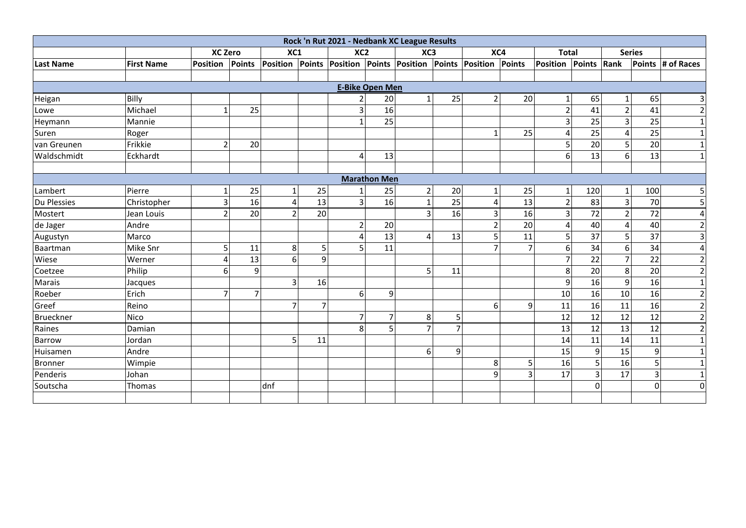|                  |                   |                 |                |                |                | Rock 'n Rut 2021 - Nedbank XC League Results    |                        |                |                |                 |    |                      |                 |                 |                 |                   |
|------------------|-------------------|-----------------|----------------|----------------|----------------|-------------------------------------------------|------------------------|----------------|----------------|-----------------|----|----------------------|-----------------|-----------------|-----------------|-------------------|
|                  |                   | <b>XC Zero</b>  |                | XC1            |                | XC <sub>2</sub>                                 |                        | XC3            |                | XC4             |    | <b>Total</b>         |                 |                 | <b>Series</b>   |                   |
| <b>Last Name</b> | <b>First Name</b> | <b>Position</b> | Points         |                |                | Position Points Position Points Position Points |                        |                |                | Position Points |    | Position Points Rank |                 |                 |                 | Points # of Races |
|                  |                   |                 |                |                |                |                                                 |                        |                |                |                 |    |                      |                 |                 |                 |                   |
|                  |                   |                 |                |                |                |                                                 | <b>E-Bike Open Men</b> |                |                |                 |    |                      |                 |                 |                 |                   |
| Heigan           | Billy             |                 |                |                |                |                                                 | 20                     | $\mathbf{1}$   | 25             | $\overline{2}$  | 20 | $1\vert$             | 65              |                 | 65              | 3                 |
| Lowe             | Michael           | $\mathbf{1}$    | 25             |                |                | 3                                               | 16                     |                |                |                 |    | $\overline{2}$       | 41              | $\overline{2}$  | 41              | $\mathbf 2$       |
| Heymann          | Mannie            |                 |                |                |                | $\mathbf{1}$                                    | 25                     |                |                |                 |    | $\overline{3}$       | 25              | 3               | 25              | 1                 |
| Suren            | Roger             |                 |                |                |                |                                                 |                        |                |                |                 | 25 | $\overline{4}$       | 25              | 4               | 25              | $\mathbf{1}$      |
| van Greunen      | Frikkie           | $\overline{2}$  | 20             |                |                |                                                 |                        |                |                |                 |    | $\overline{5}$       | 20              | 51              | 20              | $\mathbf{1}$      |
| Waldschmidt      | Eckhardt          |                 |                |                |                | 4                                               | 13                     |                |                |                 |    | $6\vert$             | 13              | $6 \mid$        | 13              | $\mathbf{1}$      |
|                  |                   |                 |                |                |                |                                                 |                        |                |                |                 |    |                      |                 |                 |                 |                   |
|                  |                   |                 |                |                |                |                                                 | <b>Marathon Men</b>    |                |                |                 |    |                      |                 |                 |                 |                   |
| Lambert          | Pierre            | 1               | 25             | $1\vert$       | 25             |                                                 | 25                     | $\overline{2}$ | 20             | 1               | 25 | $1\vert$             | 120             |                 | 100             | 5                 |
| Du Plessies      | Christopher       | 3               | 16             | 4              | 13             | $\overline{3}$                                  | 16                     |                | 25             | 4               | 13 | $\overline{2}$       | 83              | 3               | 70              | 5                 |
| Mostert          | Jean Louis        | $\overline{2}$  | 20             | 2              | 20             |                                                 |                        | 3              | 16             | 3               | 16 | $\overline{3}$       | $\overline{72}$ |                 | 72              | $\overline{4}$    |
| de Jager         | Andre             |                 |                |                |                | $\overline{2}$                                  | 20                     |                |                |                 | 20 | 4                    | 40              | 4               | 40              | $\overline{2}$    |
| Augustyn         | Marco             |                 |                |                |                | 4                                               | 13                     | 4              | 13             | 5               | 11 | $\overline{5}$       | 37              | 5               | 37              | $\overline{3}$    |
| Baartman         | Mike Snr          | 5               | 11             | 8              | 5              | 5                                               | 11                     |                |                |                 |    | 6 <sup>1</sup>       | $\overline{34}$ | 6               | 34              | $\overline{4}$    |
| Wiese            | Werner            | Δ               | 13             | 6              | $\overline{9}$ |                                                 |                        |                |                |                 |    | $\overline{7}$       | $\overline{22}$ |                 | $\overline{22}$ | $\overline{2}$    |
| Coetzee          | Philip            | 6               | 9              |                |                |                                                 |                        | 5              | 11             |                 |    | 8 <sup>1</sup>       | 20              | 8               | 20              | $\overline{2}$    |
| Marais           | Jacques           |                 |                | 3 <sup>1</sup> | 16             |                                                 |                        |                |                |                 |    | $\overline{9}$       | 16              | 9               | 16              | $\mathbf{1}$      |
| Roeber           | Erich             | $\overline{7}$  | $\overline{7}$ |                |                | 6                                               | 9                      |                |                |                 |    | 10                   | 16              | 10              | 16              | $\mathbf 2$       |
| Greef            | Reino             |                 |                | $\overline{7}$ | $\overline{7}$ |                                                 |                        |                |                | 6 <sup>1</sup>  | 9  | 11                   | 16              | 11              | 16              | $\mathbf 2$       |
| <b>Brueckner</b> | <b>Nico</b>       |                 |                |                |                | 7                                               |                        | 8              | 5              |                 |    | 12                   | 12              | 12              | 12              | $\overline{2}$    |
| Raines           | Damian            |                 |                |                |                | 8                                               |                        | $\overline{7}$ | $\overline{7}$ |                 |    | 13                   | $\overline{12}$ | $\overline{13}$ | $\overline{12}$ | $\overline{2}$    |
| Barrow           | Jordan            |                 |                | 5              | 11             |                                                 |                        |                |                |                 |    | 14                   | 11              | 14              | 11              | $\mathbf 1$       |
| Huisamen         | Andre             |                 |                |                |                |                                                 |                        | 6              | 9              |                 |    | 15                   | $\overline{9}$  | 15              | $\mathsf g$     | $\mathbf{1}$      |
| <b>Bronner</b>   | Wimpie            |                 |                |                |                |                                                 |                        |                |                | 8 <sup>1</sup>  | 5  | 16                   | 5               | 16              | 5               | $\mathbf{1}$      |
| Penderis         | Johan             |                 |                |                |                |                                                 |                        |                |                | 9               | 3  | 17                   | $\vert$ 3       | 17              | $\overline{3}$  | $\mathbf{1}$      |
| Soutscha         | Thomas            |                 |                | dnf            |                |                                                 |                        |                |                |                 |    |                      | $\mathbf 0$     |                 | $\Omega$        | $\mathbf 0$       |
|                  |                   |                 |                |                |                |                                                 |                        |                |                |                 |    |                      |                 |                 |                 |                   |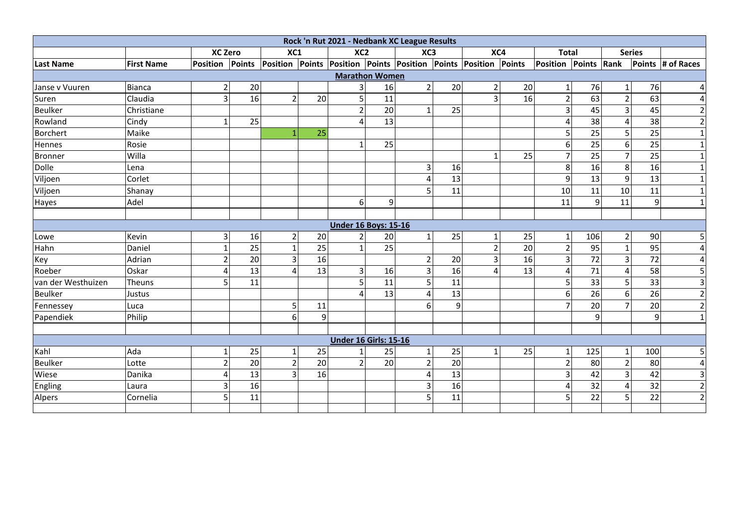| Rock 'n Rut 2021 - Nedbank XC League Results |                   |                 |                 |                |                |                              |                 |                 |    |                                                                 |    |                      |                 |                |     |                   |
|----------------------------------------------|-------------------|-----------------|-----------------|----------------|----------------|------------------------------|-----------------|-----------------|----|-----------------------------------------------------------------|----|----------------------|-----------------|----------------|-----|-------------------|
|                                              |                   | <b>XC Zero</b>  |                 | XC1            |                | XC <sub>2</sub>              |                 | XC <sub>3</sub> |    | XC4                                                             |    | <b>Total</b>         |                 | <b>Series</b>  |     |                   |
| <b>Last Name</b>                             | <b>First Name</b> | <b>Position</b> | <b>Points</b>   |                |                |                              |                 |                 |    | Position Points Position Points Position Points Position Points |    | Position Points Rank |                 |                |     | Points # of Races |
|                                              |                   |                 |                 |                |                | <b>Marathon Women</b>        |                 |                 |    |                                                                 |    |                      |                 |                |     |                   |
| Janse v Vuuren                               | Bianca            | 2               | 20              |                |                | 3                            | 16              | $\overline{2}$  | 20 | 2                                                               | 20 | $1\vert$             | 76              |                | 76  | 4                 |
| Suren                                        | Claudia           | 3               | 16              | $\overline{2}$ | 20             | 5                            | 11              |                 |    | $\overline{3}$                                                  | 16 | 2 <sup>1</sup>       | 63              | $\overline{2}$ | 63  | $\overline{4}$    |
| <b>Beulker</b>                               | Christiane        |                 |                 |                |                | $\overline{2}$               | $\overline{20}$ | 1               | 25 |                                                                 |    | $\overline{3}$       | 45              | 3              | 45  | $\overline{2}$    |
| Rowland                                      | Cindy             | 1               | 25              |                |                | 4                            | 13              |                 |    |                                                                 |    |                      | $\overline{38}$ | 4              | 38  | $\overline{2}$    |
| <b>Borchert</b>                              | Maike             |                 |                 | $\mathbf{1}$   | 25             |                              |                 |                 |    |                                                                 |    | 5                    | $\overline{25}$ | 51             | 25  | $\mathbf{1}$      |
| Hennes                                       | Rosie             |                 |                 |                |                | 1                            | 25              |                 |    |                                                                 |    | $6\overline{6}$      | 25              | 6              | 25  | $\mathbf 1$       |
| <b>Bronner</b>                               | Willa             |                 |                 |                |                |                              |                 |                 |    |                                                                 | 25 | $\overline{7}$       | 25              |                | 25  | $\mathbf 1$       |
| Dolle                                        | Lena              |                 |                 |                |                |                              |                 | 3               | 16 |                                                                 |    | $\mathbf{8}$         | $\overline{16}$ | 8              | 16  | $\mathbf 1$       |
| Viljoen                                      | Corlet            |                 |                 |                |                |                              |                 |                 | 13 |                                                                 |    | $\overline{9}$       | 13              | $\overline{9}$ | 13  | $\mathbf{1}$      |
| Viljoen                                      | Shanay            |                 |                 |                |                |                              |                 | 5               | 11 |                                                                 |    | 10                   | 11              | 10             | 11  | $\mathbf 1$       |
| Hayes                                        | Adel              |                 |                 |                |                | 6                            | 9               |                 |    |                                                                 |    | 11                   | 9               | 11             | 9   | $\mathbf 1$       |
|                                              |                   |                 |                 |                |                |                              |                 |                 |    |                                                                 |    |                      |                 |                |     |                   |
|                                              |                   |                 |                 |                |                | <b>Under 16 Boys: 15-16</b>  |                 |                 |    |                                                                 |    |                      |                 |                |     |                   |
| Lowe                                         | Kevin             | $\overline{3}$  | 16              | $\overline{2}$ | 20             | $\overline{2}$               | 20              | $\mathbf{1}$    | 25 | 1                                                               | 25 | 1 <sup>1</sup>       | 106             | $\overline{2}$ | 90  | 5                 |
| Hahn                                         | Daniel            | 1               | $\overline{25}$ | $\mathbf{1}$   | 25             | $\mathbf{1}$                 | 25              |                 |    | $\overline{2}$                                                  | 20 | 2 <sup>1</sup>       | 95              |                | 95  | $\overline{4}$    |
| Key                                          | Adrian            | $\overline{2}$  | 20              | 3              | 16             |                              |                 | $\overline{2}$  | 20 | $\overline{\mathbf{3}}$                                         | 16 | $\overline{3}$       | 72              | $\overline{3}$ | 72  | 4                 |
| Roeber                                       | Oskar             | Δ               | 13              | 4              | 13             | 3                            | 16              | 3               | 16 | 4                                                               | 13 | $\overline{4}$       | 71              | 4              | 58  | 5                 |
| van der Westhuizen                           | Theuns            | 5               | 11              |                |                | 5                            | 11              | 5               | 11 |                                                                 |    | $\overline{5}$       | 33              | 5              | 33  | $\overline{3}$    |
| <b>Beulker</b>                               | Justus            |                 |                 |                |                | 4                            | 13              | Δ               | 13 |                                                                 |    | $6\overline{6}$      | 26              | 6              | 26  | $\mathbf 2$       |
| Fennessey                                    | Luca              |                 |                 | 5              | 11             |                              |                 | 6               | 9  |                                                                 |    | $\overline{7}$       | 20              |                | 20  | $\overline{2}$    |
| Papendiek                                    | Philip            |                 |                 | 6              | $\overline{9}$ |                              |                 |                 |    |                                                                 |    |                      | 9               |                | 9   | $\mathbf{1}$      |
|                                              |                   |                 |                 |                |                |                              |                 |                 |    |                                                                 |    |                      |                 |                |     |                   |
|                                              |                   |                 |                 |                |                | <b>Under 16 Girls: 15-16</b> |                 |                 |    |                                                                 |    |                      |                 |                |     |                   |
| Kahl                                         | Ada               | 1               | 25              | $\mathbf{1}$   | 25             | 1                            | 25              | $\mathbf{1}$    | 25 | $\mathbf{1}$                                                    | 25 | $1\overline{ }$      | 125             | $\mathbf{1}$   | 100 | 5                 |
| <b>Beulker</b>                               | Lotte             | $\overline{2}$  | 20              | $\overline{2}$ | 20             | $\overline{2}$               | 20              | $\overline{2}$  | 20 |                                                                 |    | $\overline{2}$       | 80              | $\overline{2}$ | 80  | $\overline{4}$    |
| Wiese                                        | Danika            | 4               | 13              | 3              | 16             |                              |                 |                 | 13 |                                                                 |    | $\overline{3}$       | 42              | 3              | 42  | 3                 |
| Engling                                      | Laura             | 3               | 16              |                |                |                              |                 | 3               | 16 |                                                                 |    | 4                    | 32              | 4              | 32  | $\overline{2}$    |
| Alpers                                       | Cornelia          | 5               | 11              |                |                |                              |                 | 5               | 11 |                                                                 |    | 5 <sub>l</sub>       | 22              | 5              | 22  | $\overline{2}$    |
|                                              |                   |                 |                 |                |                |                              |                 |                 |    |                                                                 |    |                      |                 |                |     |                   |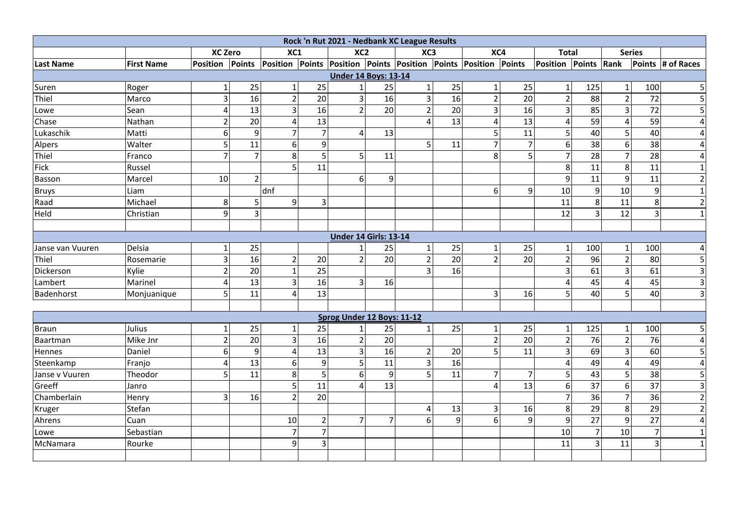| Rock 'n Rut 2021 - Nedbank XC League Results |                   |                                                                                 |                |                         |                |                              |                 |                 |    |                |                |                      |                |                         |                |                         |
|----------------------------------------------|-------------------|---------------------------------------------------------------------------------|----------------|-------------------------|----------------|------------------------------|-----------------|-----------------|----|----------------|----------------|----------------------|----------------|-------------------------|----------------|-------------------------|
|                                              |                   | <b>XC Zero</b>                                                                  |                | XC1                     |                | XC <sub>2</sub>              |                 | XC <sub>3</sub> |    | XC4            |                | <b>Total</b>         |                |                         | <b>Series</b>  |                         |
| Last Name                                    | <b>First Name</b> | Position Points Position Points Position Points Position Points Position Points |                |                         |                |                              |                 |                 |    |                |                | Position Points Rank |                |                         |                | Points # of Races       |
|                                              |                   |                                                                                 |                |                         |                | <b>Under 14 Boys: 13-14</b>  |                 |                 |    |                |                |                      |                |                         |                |                         |
| Suren                                        | Roger             | 1                                                                               | 25             | $\mathbf{1}$            | 25             | $\mathbf{1}$                 | 25              | 1               | 25 | $\mathbf{1}$   | 25             | $1\vert$             | 125            | $\mathbf{1}$            | 100            | 5                       |
| Thiel                                        | Marco             | 3                                                                               | 16             | $\overline{2}$          | 20             | $\overline{3}$               | $\overline{16}$ | $\overline{3}$  | 16 | $\overline{2}$ | 20             | $\overline{2}$       | 88             | $\overline{2}$          | 72             | 5                       |
| Lowe                                         | Sean              | 4                                                                               | 13             | 3                       | 16             | $\overline{2}$               | 20              | $\overline{2}$  | 20 | 3              | 16             | 3 <sup>1</sup>       | 85             | $\overline{3}$          | 72             | 5                       |
| Chase                                        | Nathan            | $\mathbf 2$                                                                     | 20             | $\overline{\mathbf{4}}$ | 13             |                              |                 | 4               | 13 | $\overline{4}$ | 13             | 4                    | 59             | $\overline{4}$          | 59             | 4                       |
| Lukaschik                                    | Matti             | 6                                                                               | 9              | $\overline{7}$          | $\overline{7}$ | 4                            | 13              |                 |    | 5              | 11             | 5 <sub>l</sub>       | 40             | 5                       | 40             | $\overline{4}$          |
| Alpers                                       | Walter            | 5                                                                               | 11             | 6                       | $\mathsf 9$    |                              |                 | 5 <sup>1</sup>  | 11 | $\overline{7}$ | $\overline{7}$ | 6 <sup>1</sup>       | 38             | 6                       | 38             | 4                       |
| Thiel                                        | Franco            | 7                                                                               | 7              | 8                       | 5 <sub>1</sub> | 5                            | 11              |                 |    | 8              | 5              | $\overline{7}$       | 28             | $\overline{7}$          | 28             | 4                       |
| Fick                                         | Russel            |                                                                                 |                | 5                       | 11             |                              |                 |                 |    |                |                | 8 <sup>1</sup>       | 11             | 8                       | 11             | $\mathbf{1}$            |
| Basson                                       | Marcel            | 10                                                                              | $\overline{2}$ |                         |                | 6                            | 9               |                 |    |                |                | $\overline{9}$       | 11             | 9                       | 11             | $\mathbf 2$             |
| <b>Bruys</b>                                 | Liam              |                                                                                 |                | dnf                     |                |                              |                 |                 |    | 6              | 9              | 10                   | 9              | 10                      | 9              | $\mathbf{1}$            |
| Raad                                         | Michael           | 8                                                                               | 5              | 9                       | $\overline{3}$ |                              |                 |                 |    |                |                | 11                   | 8              | 11                      | 8              | $\mathbf 2$             |
| Held                                         | Christian         | 9                                                                               | 3              |                         |                |                              |                 |                 |    |                |                | $\overline{12}$      | $\overline{3}$ | $\overline{12}$         | $\overline{3}$ | $\mathbf{1}$            |
|                                              |                   |                                                                                 |                |                         |                |                              |                 |                 |    |                |                |                      |                |                         |                |                         |
|                                              |                   |                                                                                 |                |                         |                | <b>Under 14 Girls: 13-14</b> |                 |                 |    |                |                |                      |                |                         |                |                         |
| Janse van Vuuren                             | Delsia            | $\mathbf{1}$                                                                    | 25             |                         |                | $\mathbf{1}$                 | 25              | $\mathbf{1}$    | 25 | $\mathbf{1}$   | 25             | $\mathbf{1}$         | 100            | $1\overline{ }$         | 100            | 4                       |
| Thiel                                        | Rosemarie         | 3                                                                               | 16             | $\overline{2}$          | 20             | $\mathbf 2$                  | 20              | $\overline{2}$  | 20 | $\overline{2}$ | 20             | $\overline{2}$       | 96             | $\overline{2}$          | 80             | 5                       |
| Dickerson                                    | Kylie             | $\mathbf 2$                                                                     | 20             | $\mathbf{1}$            | 25             |                              |                 | 3               | 16 |                |                | 3 <sup>1</sup>       | 61             | $\overline{\mathbf{3}}$ | 61             | 3                       |
| Lambert                                      | Marinel           | 4                                                                               | 13             | 3                       | 16             | 3                            | 16              |                 |    |                |                | $\overline{4}$       | 45             | $\overline{4}$          | 45             | $\overline{\mathbf{3}}$ |
| Badenhorst                                   | Monjuanique       | 5                                                                               | 11             | $\overline{4}$          | 13             |                              |                 |                 |    | $\overline{3}$ | 16             | 5                    | 40             | $\overline{5}$          | 40             | 3                       |
|                                              |                   |                                                                                 |                |                         |                |                              |                 |                 |    |                |                |                      |                |                         |                |                         |
|                                              |                   |                                                                                 |                |                         |                | Sprog Under 12 Boys: 11-12   |                 |                 |    |                |                |                      |                |                         |                |                         |
| Braun                                        | Julius            | 1                                                                               | 25             | $\mathbf{1}$            | 25             | $\mathbf{1}$                 | 25              | $\mathbf{1}$    | 25 | $\mathbf{1}$   | 25             | $1\vert$             | 125            | $\mathbf{1}$            | 100            | 5                       |
| Baartman                                     | Mike Jnr          | $\overline{2}$                                                                  | 20             | 3                       | 16             | $\overline{2}$               | 20              |                 |    | $\overline{2}$ | 20             | $\overline{2}$       | 76             | $\overline{2}$          | 76             | $\overline{4}$          |
| Hennes                                       | Daniel            | 6                                                                               | 9              | $\overline{\mathbf{4}}$ | 13             | $\overline{3}$               | 16              | $\overline{2}$  | 20 | 5 <sup>1</sup> | 11             | 3 <sup>1</sup>       | 69             | $\overline{\mathbf{3}}$ | 60             | 5                       |
| Steenkamp                                    | Franjo            | 4                                                                               | 13             | 6                       | 9              | 5                            | 11              | $\overline{3}$  | 16 |                |                | 4                    | 49             | $\overline{4}$          | 49             | $\overline{4}$          |
| Janse v Vuuren                               | Theodor           | 5                                                                               | 11             | 8                       | 5              | 6                            | $\mathbf{q}$    | 5               | 11 | $\overline{7}$ | $\overline{7}$ | 5                    | 43             | $\overline{5}$          | 38             | 5                       |
| Greeff                                       | Janro             |                                                                                 |                | 5                       | 11             | $\overline{4}$               | 13              |                 |    | $\overline{4}$ | 13             | $6 \mid$             | 37             | 6                       | 37             | 3                       |
| Chamberlain                                  | Henry             | 3                                                                               | 16             | $\overline{2}$          | 20             |                              |                 |                 |    |                |                | $\overline{7}$       | 36             | 7                       | 36             | $\mathbf 2$             |
| Kruger                                       | Stefan            |                                                                                 |                |                         |                |                              |                 | 4               | 13 | 3              | 16             | 8 <sup>1</sup>       | 29             | 8                       | 29             | $\overline{2}$          |
| Ahrens                                       | Cuan              |                                                                                 |                | 10                      | $\overline{2}$ | $\overline{7}$               | 7               | 6               | 9  | 6              | 9              | 9                    | 27             | $\overline{9}$          | 27             | $\overline{4}$          |
| Lowe                                         | Sebastian         |                                                                                 |                | $\overline{7}$          | $\overline{7}$ |                              |                 |                 |    |                |                | 10                   | $\overline{7}$ | 10                      | $\overline{7}$ | $\mathbf 1$             |
| McNamara                                     | Rourke            |                                                                                 |                | 9                       | $\overline{3}$ |                              |                 |                 |    |                |                | 11                   | $\overline{3}$ | 11                      | $\overline{3}$ | $\mathbf{1}$            |
|                                              |                   |                                                                                 |                |                         |                |                              |                 |                 |    |                |                |                      |                |                         |                |                         |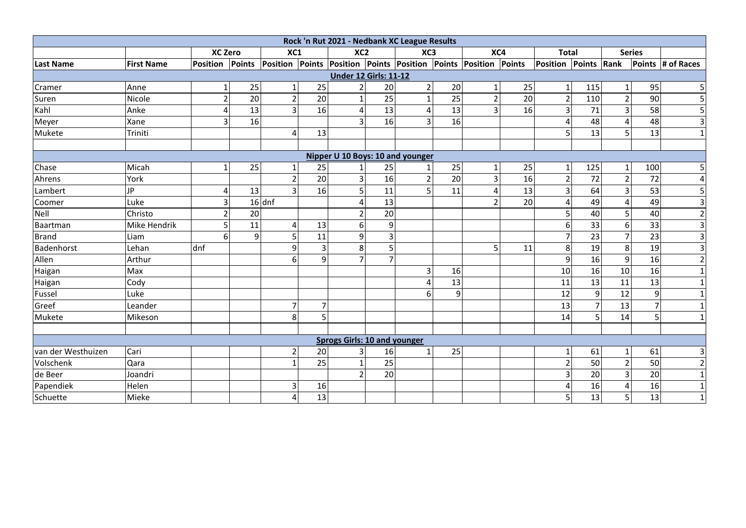|                    |                   |                 |    |                                                                 |                | Rock 'n Rut 2021 - Nedbank XC League Results |    |                |    |                         |    |                      |                  |                  |                |                   |
|--------------------|-------------------|-----------------|----|-----------------------------------------------------------------|----------------|----------------------------------------------|----|----------------|----|-------------------------|----|----------------------|------------------|------------------|----------------|-------------------|
|                    |                   | <b>XC Zero</b>  |    | XC1                                                             |                | XC <sub>2</sub>                              |    | XC3            |    | XC4                     |    | <b>Total</b>         |                  | <b>Series</b>    |                |                   |
| <b>Last Name</b>   | <b>First Name</b> | Position Points |    | Position Points Position Points Position Points Position Points |                |                                              |    |                |    |                         |    | Position Points Rank |                  |                  |                | Points # of Races |
|                    |                   |                 |    |                                                                 |                | <b>Under 12 Girls: 11-12</b>                 |    |                |    |                         |    |                      |                  |                  |                |                   |
| Cramer             | Anne              | 1               | 25 | $1\vert$                                                        | 25             | 2                                            | 20 | $\overline{2}$ | 20 | $1\vert$                | 25 | $1\vert$             | 115              | $\mathbf{1}$     | 95             | 5                 |
| Suren              | Nicole            | $\overline{2}$  | 20 | $\overline{2}$                                                  | 20             | $\mathbf{1}$                                 | 25 |                | 25 | $\overline{2}$          | 20 | $\overline{2}$       | 110              | $\overline{2}$   | 90             | 5                 |
| Kahl               | Anke              | Δ               | 13 | $\overline{3}$                                                  | 16             | 4                                            | 13 |                | 13 | $\overline{\mathbf{3}}$ | 16 | $\overline{3}$       | 71               | $\overline{3}$   | 58             | 5                 |
| Meyer              | Xane              | 3               | 16 |                                                                 |                | 3                                            | 16 | 3              | 16 |                         |    |                      | 48               |                  | 48             | 3                 |
| Mukete             | Triniti           |                 |    | $\Delta$                                                        | 13             |                                              |    |                |    |                         |    |                      | 13               | 5                | 13             | $\mathbf 1$       |
|                    |                   |                 |    |                                                                 |                |                                              |    |                |    |                         |    |                      |                  |                  |                |                   |
|                    |                   |                 |    |                                                                 |                | Nipper U 10 Boys: 10 and younger             |    |                |    |                         |    |                      |                  |                  |                |                   |
| Chase              | Micah             | 1               | 25 | $\mathbf{1}$                                                    | 25             |                                              | 25 |                | 25 | 1                       | 25 | $1\overline{ }$      | 125              |                  | 100            | 5                 |
| Ahrens             | York              |                 |    | $\overline{2}$                                                  | 20             | $\overline{3}$                               | 16 | $\overline{2}$ | 20 | $\overline{3}$          | 16 | $\overline{2}$       | 72               | $\overline{2}$   | 72             | $\overline{4}$    |
| Lambert            | JP                | Δ               | 13 | 3                                                               | 16             | 5                                            | 11 | 5              | 11 | 4                       | 13 | $\vert$ 3            | 64               | $\overline{3}$   | 53             | 5                 |
| Coomer             | Luke              | 3               |    | $16$ dnf                                                        |                | 4                                            | 13 |                |    | $\overline{2}$          | 20 | 4                    | 49               | 4                | 49             | $\overline{3}$    |
| Nell               | Christo           | $\mathfrak z$   | 20 |                                                                 |                | $\overline{2}$                               | 20 |                |    |                         |    | 5 <sup>1</sup>       | 40               | 5                | 40             | $\overline{2}$    |
| Baartman           | Mike Hendrik      | 5               | 11 | 4                                                               | 13             | 6                                            | 9  |                |    |                         |    | $6\vert$             | 33               | $6 \overline{6}$ | 33             | $\overline{3}$    |
| <b>Brand</b>       | Liam              | 6               | 9  | 5                                                               | 11             | 9                                            |    |                |    |                         |    | $\overline{7}$       | 23               | $\overline{7}$   | 23             | $\overline{3}$    |
| Badenhorst         | Lehan             | dnf             |    | 9                                                               | 3 <sup>1</sup> | 8                                            | 5  |                |    | 5                       | 11 | 8 <sup>1</sup>       | 19               | 8                | 19             | $\overline{3}$    |
| Allen              | Arthur            |                 |    | 6                                                               | $\overline{9}$ | $\overline{7}$                               |    |                |    |                         |    | $\overline{9}$       | 16               | $\overline{9}$   | 16             | $\overline{2}$    |
| Haigan             | Max               |                 |    |                                                                 |                |                                              |    | 3              | 16 |                         |    | 10                   | 16               | 10               | 16             |                   |
| Haigan             | Cody              |                 |    |                                                                 |                |                                              |    |                | 13 |                         |    | 11                   | 13               | 11               | 13             | -1                |
| Fussel             | Luke              |                 |    |                                                                 |                |                                              |    |                | 9  |                         |    | 12                   | $\boldsymbol{9}$ | 12               | $\overline{9}$ |                   |
| Greef              | Leander           |                 |    | $\overline{7}$                                                  | $\overline{7}$ |                                              |    |                |    |                         |    | 13                   | $\overline{7}$   | 13               | $\overline{7}$ |                   |
| Mukete             | Mikeson           |                 |    | 8                                                               |                |                                              |    |                |    |                         |    | 14                   | 5                | 14               | 5              |                   |
|                    |                   |                 |    |                                                                 |                |                                              |    |                |    |                         |    |                      |                  |                  |                |                   |
|                    |                   |                 |    |                                                                 |                | <b>Sprogs Girls: 10 and younger</b>          |    |                |    |                         |    |                      |                  |                  |                |                   |
| van der Westhuizen | Cari              |                 |    | $\overline{2}$                                                  | 20             | 3                                            | 16 | 1              | 25 |                         |    | $1\vert$             | 61               |                  | 61             | $\mathbf{3}$      |
| Volschenk          | Qara              |                 |    | $\mathbf{1}$                                                    | 25             | $\mathbf{1}$                                 | 25 |                |    |                         |    | 2                    | 50               | $\overline{2}$   | 50             | $\overline{2}$    |
| de Beer            | Joandri           |                 |    |                                                                 |                | $\overline{2}$                               | 20 |                |    |                         |    | $\overline{3}$       | 20               | $\overline{3}$   | 20             | $\mathbf{1}$      |
| Papendiek          | Helen             |                 |    | 3                                                               | 16             |                                              |    |                |    |                         |    |                      | 16               | 4                | 16             | $\mathbf 1$       |
| Schuette           | Mieke             |                 |    | 4                                                               | 13             |                                              |    |                |    |                         |    |                      | 13               | 5                | 13             | $\mathbf 1$       |